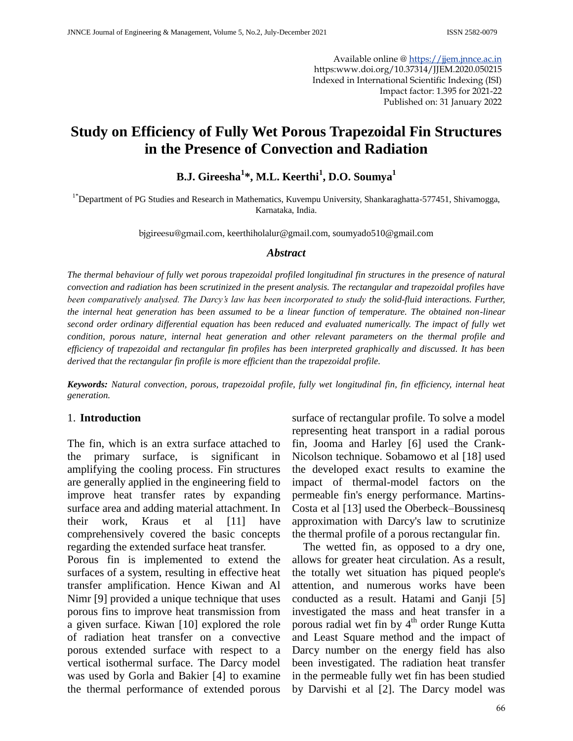Available online @ [https://jjem.jnnce.ac.in](https://jjem.jnnce.ac.in/) https:www.doi.org/10.37314/JJEM.2020.050215 Indexed in International Scientific Indexing (ISI) Impact factor: 1.395 for 2021-22 Published on: 31 January 2022

# **Study on Efficiency of Fully Wet Porous Trapezoidal Fin Structures in the Presence of Convection and Radiation**

## **B.J. Gireesha<sup>1</sup> \*, M.L. Keerthi<sup>1</sup> , D.O. Soumya<sup>1</sup>**

<sup>1\*</sup>Department of PG Studies and Research in Mathematics, Kuvempu University, Shankaraghatta-577451, Shivamogga, Karnataka, India.

bjgireesu@gmail.com, keerthiholalur@gmail.com, soumyado510@gmail.com

#### *Abstract*

*The thermal behaviour of fully wet porous trapezoidal profiled longitudinal fin structures in the presence of natural convection and radiation has been scrutinized in the present analysis. The rectangular and trapezoidal profiles have been comparatively analysed. The Darcy's law has been incorporated to study the solid-fluid interactions. Further, the internal heat generation has been assumed to be a linear function of temperature. The obtained non-linear second order ordinary differential equation has been reduced and evaluated numerically. The impact of fully wet condition, porous nature, internal heat generation and other relevant parameters on the thermal profile and efficiency of trapezoidal and rectangular fin profiles has been interpreted graphically and discussed. It has been derived that the rectangular fin profile is more efficient than the trapezoidal profile.*

*Keywords: Natural convection, porous, trapezoidal profile, fully wet longitudinal fin, fin efficiency, internal heat generation.*

#### 1. **Introduction**

The fin, which is an extra surface attached to the primary surface, is significant in amplifying the cooling process. Fin structures are generally applied in the engineering field to improve heat transfer rates by expanding surface area and adding material attachment. In their work, Kraus et al [11] have comprehensively covered the basic concepts regarding the extended surface heat transfer.

Porous fin is implemented to extend the surfaces of a system, resulting in effective heat transfer amplification. Hence Kiwan and Al Nimr [9] provided a unique technique that uses porous fins to improve heat transmission from a given surface. Kiwan [10] explored the role of radiation heat transfer on a convective porous extended surface with respect to a vertical isothermal surface. The Darcy model was used by Gorla and Bakier [4] to examine the thermal performance of extended porous

surface of rectangular profile. To solve a model representing heat transport in a radial porous fin, Jooma and Harley [6] used the Crank-Nicolson technique. Sobamowo et al [18] used the developed exact results to examine the impact of thermal-model factors on the permeable fin's energy performance. Martins-Costa et al [13] used the Oberbeck–Boussinesq approximation with Darcy's law to scrutinize the thermal profile of a porous rectangular fin.

 The wetted fin, as opposed to a dry one, allows for greater heat circulation. As a result, the totally wet situation has piqued people's attention, and numerous works have been conducted as a result. Hatami and Ganji [5] investigated the mass and heat transfer in a porous radial wet fin by 4<sup>th</sup> order Runge Kutta and Least Square method and the impact of Darcy number on the energy field has also been investigated. The radiation heat transfer in the permeable fully wet fin has been studied by Darvishi et al [2]. The Darcy model was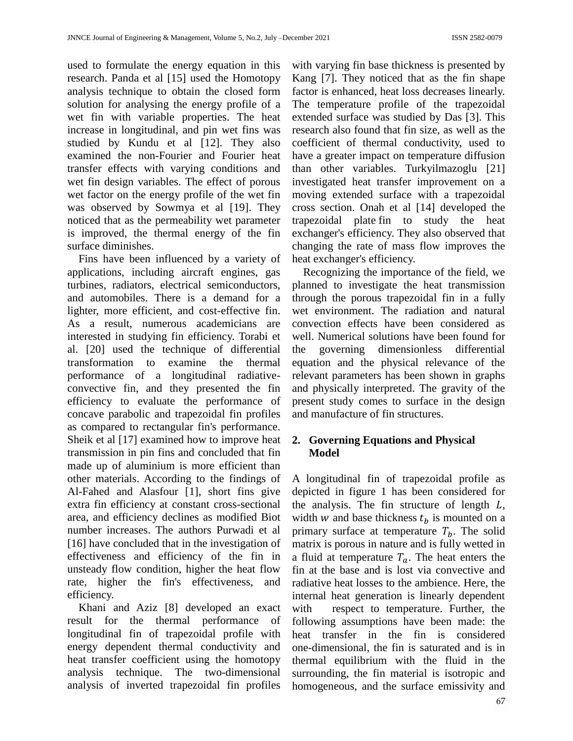used to formulate the energy equation in this research. Panda et al [15] used the Homotopy analysis technique to obtain the closed form solution for analysing the energy profile of a wet fin with variable properties. The heat increase in longitudinal, and pin wet fins was studied by Kundu et al [12]. They also examined the non-Fourier and Fourier heat transfer effects with varying conditions and wet fin design variables. The effect of porous wet factor on the energy profile of the wet fin was observed by Sowmya et al [19]. They noticed that as the permeability wet parameter is improved, the thermal energy of the fin surface diminishes.

 Fins have been influenced by a variety of applications, including aircraft engines, gas turbines, radiators, electrical semiconductors, and automobiles. There is a demand for a lighter, more efficient, and cost-effective fin. As a result, numerous academicians are interested in studying fin efficiency. Torabi et al. [20] used the technique of differential transformation to examine the thermal performance of a longitudinal radiativeconvective fin, and they presented the fin efficiency to evaluate the performance of concave parabolic and trapezoidal fin profiles as compared to rectangular fin's performance. Sheik et al [17] examined how to improve heat transmission in pin fins and concluded that fin made up of aluminium is more efficient than other materials. According to the findings of Al-Fahed and Alasfour [1], short fins give extra fin efficiency at constant cross-sectional area, and efficiency declines as modified Biot number increases. The authors Purwadi et al [16] have concluded that in the investigation of effectiveness and efficiency of the fin in unsteady flow condition, higher the heat flow rate, higher the fin's effectiveness, and efficiency.

 Khani and Aziz [8] developed an exact result for the thermal performance of longitudinal fin of trapezoidal profile with energy dependent thermal conductivity and heat transfer coefficient using the homotopy analysis technique. The two-dimensional analysis of inverted trapezoidal fin profiles

with varying fin base thickness is presented by Kang [7]. They noticed that as the fin shape factor is enhanced, heat loss decreases linearly. The temperature profile of the trapezoidal extended surface was studied by Das [3]. This research also found that fin size, as well as the coefficient of thermal conductivity, used to have a greater impact on temperature diffusion than other variables. Turkyilmazoglu [21] investigated heat transfer improvement on a moving extended surface with a trapezoidal cross section. Onah et al [14] developed the trapezoidal plate fin to study the heat exchanger's efficiency. They also observed that changing the rate of mass flow improves the heat exchanger's efficiency.

 Recognizing the importance of the field, we planned to investigate the heat transmission through the porous trapezoidal fin in a fully wet environment. The radiation and natural convection effects have been considered as well. Numerical solutions have been found for the governing dimensionless differential equation and the physical relevance of the relevant parameters has been shown in graphs and physically interpreted. The gravity of the present study comes to surface in the design and manufacture of fin structures.

### **2. Governing Equations and Physical Model**

A longitudinal fin of trapezoidal profile as depicted in figure 1 has been considered for the analysis. The fin structure of length  $L$ , width w and base thickness  $t_b$  is mounted on a primary surface at temperature  $T<sub>h</sub>$ . The solid matrix is porous in nature and is fully wetted in a fluid at temperature  $T_a$ . The heat enters the fin at the base and is lost via convective and radiative heat losses to the ambience. Here, the internal heat generation is linearly dependent with respect to temperature. Further, the following assumptions have been made: the heat transfer in the fin is considered one-dimensional, the fin is saturated and is in thermal equilibrium with the fluid in the surrounding, the fin material is isotropic and homogeneous, and the surface emissivity and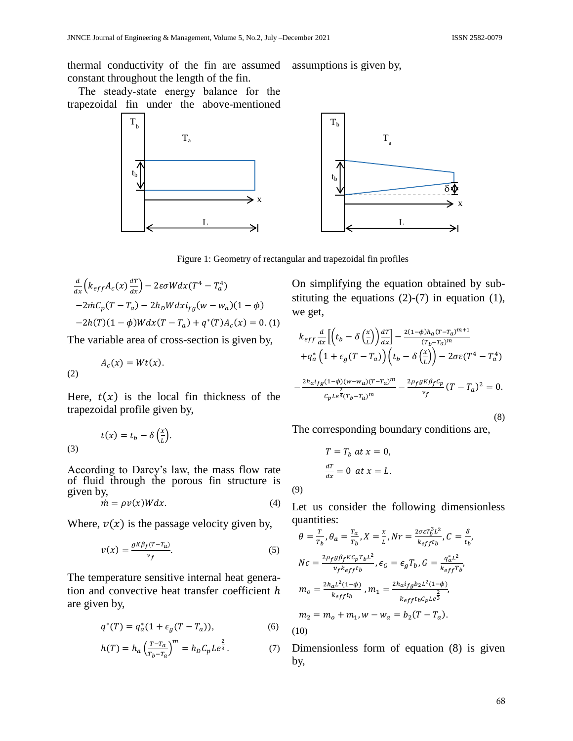thermal conductivity of the fin are assumed assumptions is given by, constant throughout the length of the fin.

The steady-state energy balance for the trapezoidal fin under the above-mentioned



Figure 1: Geometry of rectangular and trapezoidal fin profiles

$$
\frac{d}{dx}\left(k_{eff}A_c(x)\frac{dT}{dx}\right) - 2\varepsilon\sigma Wdx(T^4 - T_a^4)
$$
  
-2 $mC_p(T - T_a) - 2h_D Wdx i_{fg}(w - w_a)(1 - \phi)$   
-2 $h(T)(1 - \phi)Wdx(T - T_a) + q^*(T)A_c(x) = 0.$  (1)

The variable area of cross-section is given by,

$$
A_c(x) = Wt(x).
$$
 (2)

(2)

Here,  $t(x)$  is the local fin thickness of the trapezoidal profile given by,

(3) 
$$
t(x) = t_b - \delta \left(\frac{x}{L}\right).
$$

According to Darcy's law, the mass flow rate of fluid through the porous fin structure is given by,

$$
\dot{m} = \rho v(x)W dx. \tag{4}
$$

Where,  $v(x)$  is the passage velocity given by,

$$
v(x) = \frac{g \kappa \beta_f (T - T_a)}{v_f}.
$$
 (5)

The temperature sensitive internal heat generation and convective heat transfer coefficient  $h$ are given by,

$$
q^*(T) = q_a^*(1 + \epsilon_g(T - T_a)), \tag{6}
$$

$$
h(T) = h_a \left(\frac{T - T_a}{T_b - T_a}\right)^m = h_D C_p L e^{\frac{2}{3}}.
$$
 (7)

On simplifying the equation obtained by substituting the equations  $(2)-(7)$  in equation  $(1)$ , we get,

$$
k_{eff} \frac{d}{dx} \left[ \left( t_b - \delta \left( \frac{x}{L} \right) \right) \frac{dT}{dx} \right] - \frac{2(1-\phi)h_a(T - T_a)^{m+1}}{(T_b - T_a)^m}
$$

$$
+ q_a^* \left( 1 + \epsilon_g (T - T_a) \right) \left( t_b - \delta \left( \frac{x}{L} \right) \right) - 2\sigma \varepsilon (T^4 - T_a^4)
$$

$$
- \frac{2h_a i_{fg} (1-\phi)(w - w_a)(T - T_a)^m}{c_p L e^{\frac{2}{3}} (T_b - T_a)^m} - \frac{2\rho_f g K \beta_f c_p}{v_f} (T - T_a)^2 = 0.
$$
(8)

The corresponding boundary conditions are,

$$
T = T_b \, at \, x = 0,
$$
  

$$
\frac{dT}{dx} = 0 \, at \, x = L.
$$

(9)

Let us consider the following dimensionless quantities:

$$
\theta = \frac{r}{r_b}, \theta_a = \frac{r_a}{r_b}, X = \frac{x}{L}, Nr = \frac{2\sigma \varepsilon T_b^3 L^2}{k_{eff} t_b}, C = \frac{\delta}{t_b},
$$
  
\n
$$
Nc = \frac{2\rho_f g \beta_f K c_p T_b L^2}{v_f k_{eff} t_b}, \epsilon_G = \epsilon_g T_b, G = \frac{q_a^* L^2}{k_{eff} T_b},
$$
  
\n
$$
m_o = \frac{2h_a L^2 (1-\phi)}{k_{eff} t_b}, m_1 = \frac{2h_a i_f g b_2 L^2 (1-\phi)}{k_{eff} t_b C_p L e^{\frac{2}{3}}},
$$
  
\n
$$
m_2 = m_o + m_1, w - w_a = b_2 (T - T_a).
$$
  
\n(10)

Dimensionless form of equation (8) is given by,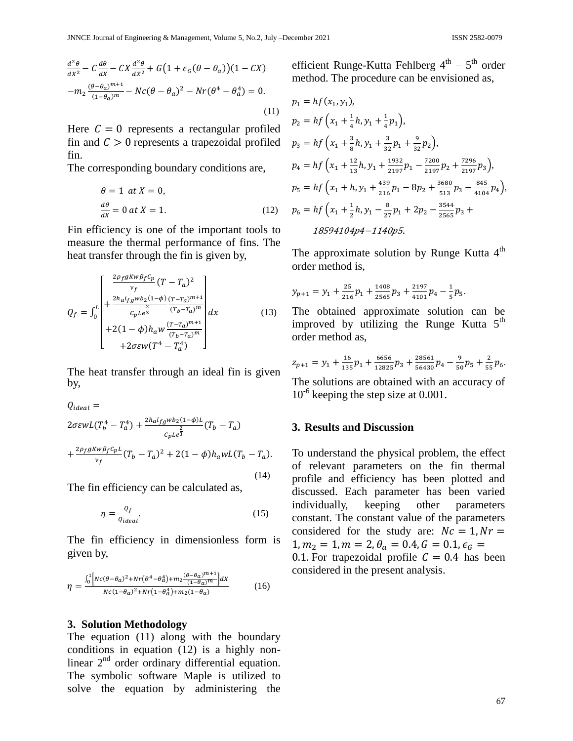$$
\frac{d^2\theta}{dx^2} - C\frac{d\theta}{dx} - CX\frac{d^2\theta}{dx^2} + G\left(1 + \epsilon_G(\theta - \theta_a)\right)(1 - CX)
$$

$$
-m_2\frac{(\theta - \theta_a)^{m+1}}{(1 - \theta_a)^m} - N\epsilon(\theta - \theta_a)^2 - Nr(\theta^4 - \theta_a^4) = 0.
$$
(11)

Here  $C = 0$  represents a rectangular profiled fin and  $C > 0$  represents a trapezoidal profiled fin.

The corresponding boundary conditions are,

$$
\theta = 1 \quad at \quad X = 0,
$$
  

$$
\frac{d\theta}{dx} = 0 \quad at \quad X = 1.
$$
 (12)

Fin efficiency is one of the important tools to measure the thermal performance of fins. The heat transfer through the fin is given by,

$$
Q_{f} = \int_{0}^{L} \begin{bmatrix} \frac{2\rho_{f}gKw\beta_{f}c_{p}}{v_{f}}(T-T_{a})^{2} \\ +\frac{2h_{a}i_{fg}wb_{2}(1-\phi)}{c_{p}Le^{\frac{2}{3}}} \frac{(T-T_{a})^{m+1}}{(T_{b}-T_{a})^{m}} \\ +2(1-\phi)h_{a}w \frac{(T-T_{a})^{m+1}}{(T_{b}-T_{a})^{m}} \end{bmatrix} dx
$$
(13)  
+2\sigma \varepsilon w (T^{4}-T\_{a}^{4})

The heat transfer through an ideal fin is given by,

$$
Q_{ideal} =
$$
  
\n
$$
2\sigma \varepsilon wL(T_b^4 - T_a^4) + \frac{2h_a i_f g w b_2 (1 - \phi)L}{c_p L e^{\frac{2}{3}}} (T_b - T_a)
$$
  
\n
$$
+ \frac{2\rho_f g K w \beta_f C_p L}{v_f} (T_b - T_a)^2 + 2(1 - \phi)h_a w L (T_b - T_a).
$$
  
\n(14)

The fin efficiency can be calculated as,

$$
\eta = \frac{Q_f}{Q_{ideal}}.\tag{15}
$$

The fin efficiency in dimensionless form is given by,

$$
\eta = \frac{\int_0^1 \left[ Nc(\theta - \theta_a)^2 + Nr(\theta^4 - \theta_a^4) + m_2 \frac{(\theta - \theta_a)^{m+1}}{(1 - \theta_a)^m} \right] dx}{Nc(1 - \theta_a)^2 + Nr(1 - \theta_a^4) + m_2 (1 - \theta_a)}
$$
(16)

#### **3. Solution Methodology**

The equation (11) along with the boundary conditions in equation (12) is a highly nonlinear  $2<sup>nd</sup>$  order ordinary differential equation. The symbolic software Maple is utilized to solve the equation by administering the

efficient Runge-Kutta Fehlberg  $4^{\text{th}} - 5^{\text{th}}$  order method. The procedure can be envisioned as,

$$
p_1 = hf(x_1, y_1),
$$
  
\n
$$
p_2 = hf\left(x_1 + \frac{1}{4}h, y_1 + \frac{1}{4}p_1\right),
$$
  
\n
$$
p_3 = hf\left(x_1 + \frac{3}{8}h, y_1 + \frac{3}{32}p_1 + \frac{9}{32}p_2\right),
$$
  
\n
$$
p_4 = hf\left(x_1 + \frac{12}{13}h, y_1 + \frac{1932}{2197}p_1 - \frac{7200}{2197}p_2 + \frac{7296}{2197}p_3\right),
$$
  
\n
$$
p_5 = hf\left(x_1 + h, y_1 + \frac{439}{216}p_1 - 8p_2 + \frac{3680}{513}p_3 - \frac{845}{4104}p_4\right),
$$
  
\n
$$
p_6 = hf\left(x_1 + \frac{1}{2}h, y_1 - \frac{8}{27}p_1 + 2p_2 - \frac{3544}{2565}p_3 + \frac{18594104p4 - 1140p5}{2565}\right).
$$

The approximate solution by Runge Kutta  $4<sup>th</sup>$ order method is,

$$
y_{p+1} = y_1 + \frac{25}{216}p_1 + \frac{1408}{2565}p_3 + \frac{2197}{4101}p_4 - \frac{1}{5}p_5.
$$

The obtained approximate solution can be improved by utilizing the Runge Kutta  $5<sup>th</sup>$ order method as,

$$
z_{p+1} = y_1 + \frac{16}{135}p_1 + \frac{6656}{12825}p_3 + \frac{28561}{56430}p_4 - \frac{9}{50}p_5 + \frac{2}{55}p_6.
$$

The solutions are obtained with an accuracy of 10<sup>-6</sup> keeping the step size at 0.001.

#### **3. Results and Discussion**

To understand the physical problem, the effect of relevant parameters on the fin thermal profile and efficiency has been plotted and discussed. Each parameter has been varied individually, keeping other parameters constant. The constant value of the parameters considered for the study are:  $Nc = 1, Nr =$  $1, m_2 = 1, m = 2, \theta_a = 0.4, G = 0.1, \epsilon_G =$ 0.1. For trapezoidal profile  $C = 0.4$  has been considered in the present analysis.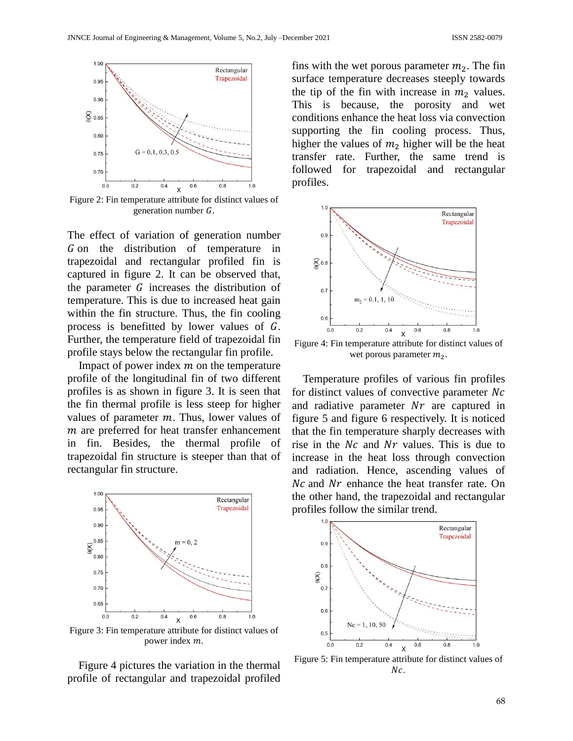

Figure 2: Fin temperature attribute for distinct values of generation number  $G$ .

The effect of variation of generation number  $G$  on the distribution of temperature in trapezoidal and rectangular profiled fin is captured in figure 2. It can be observed that, the parameter  $G$  increases the distribution of temperature. This is due to increased heat gain within the fin structure. Thus, the fin cooling process is benefitted by lower values of  $G$ . Further, the temperature field of trapezoidal fin profile stays below the rectangular fin profile.

Impact of power index  $m$  on the temperature profile of the longitudinal fin of two different profiles is as shown in figure 3. It is seen that the fin thermal profile is less steep for higher values of parameter  $m$ . Thus, lower values of  $m$  are preferred for heat transfer enhancement in fin. Besides, the thermal profile of trapezoidal fin structure is steeper than that of rectangular fin structure.



Figure 3: Fin temperature attribute for distinct values of power index m.

 Figure 4 pictures the variation in the thermal profile of rectangular and trapezoidal profiled fins with the wet porous parameter  $m_2$ . The fin surface temperature decreases steeply towards the tip of the fin with increase in  $m_2$  values. This is because, the porosity and wet conditions enhance the heat loss via convection supporting the fin cooling process. Thus, higher the values of  $m_2$  higher will be the heat transfer rate. Further, the same trend is followed for trapezoidal and rectangular profiles.



Figure 4: Fin temperature attribute for distinct values of wet porous parameter  $m<sub>2</sub>$ .

 Temperature profiles of various fin profiles for distinct values of convective parameter  $Nc$ and radiative parameter  $Nr$  are captured in figure 5 and figure 6 respectively. It is noticed that the fin temperature sharply decreases with rise in the  $Nc$  and  $Nr$  values. This is due to increase in the heat loss through convection and radiation. Hence, ascending values of  $Nc$  and  $Nr$  enhance the heat transfer rate. On the other hand, the trapezoidal and rectangular profiles follow the similar trend.



Figure 5: Fin temperature attribute for distinct values of  $Nc$ .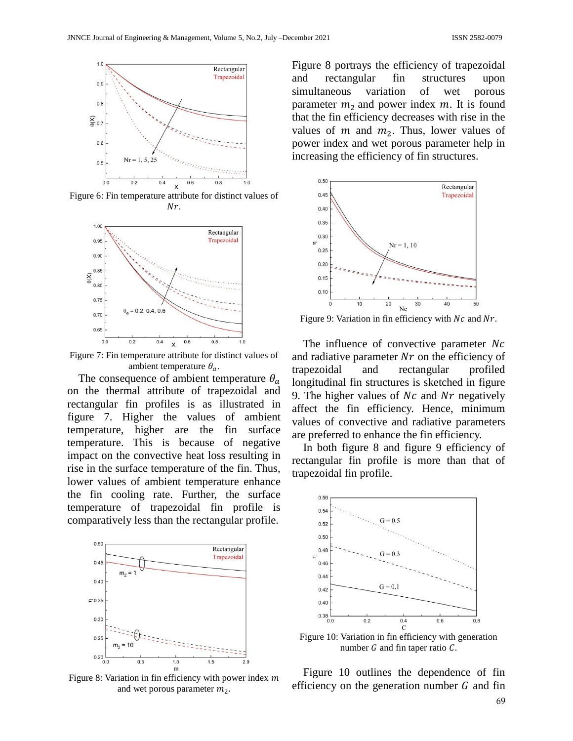

Figure 6: Fin temperature attribute for distinct values of  $Nr.$ 



Figure 7: Fin temperature attribute for distinct values of ambient temperature  $\theta_a$ .

The consequence of ambient temperature  $\theta_a$ on the thermal attribute of trapezoidal and rectangular fin profiles is as illustrated in figure 7. Higher the values of ambient temperature, higher are the fin surface temperature. This is because of negative impact on the convective heat loss resulting in rise in the surface temperature of the fin. Thus, lower values of ambient temperature enhance the fin cooling rate. Further, the surface temperature of trapezoidal fin profile is comparatively less than the rectangular profile.



Figure 8: Variation in fin efficiency with power index  $m$ and wet porous parameter  $m<sub>2</sub>$ .

Figure 8 portrays the efficiency of trapezoidal and rectangular fin structures upon simultaneous variation of wet porous parameter  $m_2$  and power index  $m$ . It is found that the fin efficiency decreases with rise in the values of m and  $m_2$ . Thus, lower values of power index and wet porous parameter help in increasing the efficiency of fin structures.



Figure 9: Variation in fin efficiency with  $Nc$  and  $Nr$ .

The influence of convective parameter  $Nc$ and radiative parameter  $Nr$  on the efficiency of trapezoidal and rectangular profiled longitudinal fin structures is sketched in figure 9. The higher values of  $Nc$  and  $Nr$  negatively affect the fin efficiency. Hence, minimum values of convective and radiative parameters are preferred to enhance the fin efficiency.

 In both figure 8 and figure 9 efficiency of rectangular fin profile is more than that of trapezoidal fin profile.



Figure 10: Variation in fin efficiency with generation number  $G$  and fin taper ratio  $C$ .

 Figure 10 outlines the dependence of fin efficiency on the generation number  $G$  and fin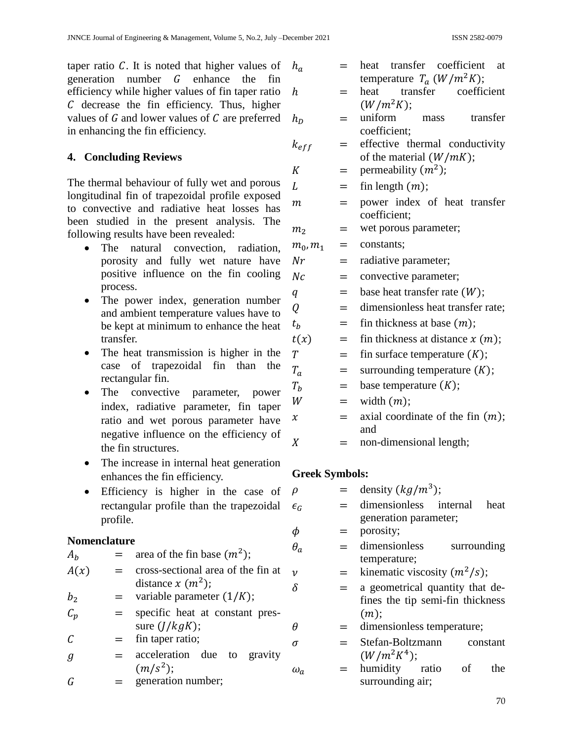taper ratio  $C$ . It is noted that higher values of generation number  $G$  enhance the fin efficiency while higher values of fin taper ratio  $C$  decrease the fin efficiency. Thus, higher values of  $G$  and lower values of  $C$  are preferred in enhancing the fin efficiency.

### **4. Concluding Reviews**

The thermal behaviour of fully wet and porous longitudinal fin of trapezoidal profile exposed to convective and radiative heat losses has been studied in the present analysis. The following results have been revealed:

- The natural convection, radiation, porosity and fully wet nature have positive influence on the fin cooling process.
- The power index, generation number and ambient temperature values have to be kept at minimum to enhance the heat transfer.
- The heat transmission is higher in the case of trapezoidal fin than the rectangular fin.
- The convective parameter, power index, radiative parameter, fin taper ratio and wet porous parameter have negative influence on the efficiency of the fin structures.
- The increase in internal heat generation enhances the fin efficiency.
- Efficiency is higher in the case of rectangular profile than the trapezoidal profile.

### **Nomenclature**

| $A_h$           |     | area of the fin base $(m^2)$ ;                             |
|-----------------|-----|------------------------------------------------------------|
| A(x)            | $=$ | cross-sectional area of the fin at<br>distance $x (m^2)$ ; |
| b <sub>2</sub>  | $=$ | variable parameter $(1/K)$ ;                               |
| $\mathcal{C}_p$ | $=$ | specific heat at constant pres-<br>sure $(J/kgK)$ ;        |
| $\mathcal C$    |     | $=$ fin taper ratio;                                       |
| g               | $=$ | acceleration due to gravity<br>$(m/s^2)$ ;                 |
|                 |     | وتبرم والمتحددين المرمانة متمرم وتمام                      |

 $G =$  generation number;

| $h_a$                 | $=$ | transfer<br>coefficient<br>heat<br>at        |  |  |
|-----------------------|-----|----------------------------------------------|--|--|
|                       |     | temperature $T_a (W/m^2 K);$                 |  |  |
| h                     | =   | transfer<br>coefficient<br>heat              |  |  |
|                       |     | $(W/m^2K);$                                  |  |  |
| $h_D$                 | =   | uniform<br>transfer<br>mass                  |  |  |
|                       |     | coefficient:                                 |  |  |
| $k_{eff}$             | =   | effective thermal conductivity               |  |  |
|                       |     | of the material $(W/mK)$ ;                   |  |  |
| K                     | =   | permeability $(m^2)$ ;                       |  |  |
| L                     | =   | fin length $(m)$ ;                           |  |  |
| т                     | $=$ | power index of heat transfer<br>coefficient; |  |  |
| m <sub>2</sub>        | =   | wet porous parameter;                        |  |  |
| $m_0, m_1$            | =   | constants;                                   |  |  |
| Nr                    | $=$ | radiative parameter;                         |  |  |
| Nc                    | $=$ | convective parameter;                        |  |  |
| $\boldsymbol{q}$      | $=$ | base heat transfer rate $(W)$ ;              |  |  |
| Q                     | $=$ | dimensionless heat transfer rate;            |  |  |
| $t_h$                 | $=$ | fin thickness at base $(m)$ ;                |  |  |
| t(x)                  | $=$ | fin thickness at distance $x(m)$ ;           |  |  |
| $\overline{T}$        | $=$ | fin surface temperature $(K)$ ;              |  |  |
| $T_a$                 | $=$ | surrounding temperature $(K)$ ;              |  |  |
| $T_b$                 | $=$ | base temperature $(K);$                      |  |  |
| W                     | $=$ | width $(m)$ ;                                |  |  |
| $\boldsymbol{\chi}$   | $=$ | axial coordinate of the fin $(m)$ ;          |  |  |
|                       |     | and                                          |  |  |
| $\boldsymbol{X}$      | $=$ | non-dimensional length;                      |  |  |
|                       |     |                                              |  |  |
| <b>Greek Symbols:</b> |     |                                              |  |  |
| ρ                     | =   | density $(kg/m^3)$ ;                         |  |  |
| $\epsilon_G$          |     | dimensionless<br>internal<br>heat            |  |  |
|                       |     | generation parameter;                        |  |  |
|                       |     |                                              |  |  |
| φ                     |     | porosity;                                    |  |  |

- $\theta_a$  = dimensionless surrounding temperature;
- $v =$  kinematic viscosity  $(m^2/s);$
- $\delta$  = a geometrical quantity that defines the tip semi-fin thickness  $(m)$ :
- $\theta$  = dimensionless temperature;
- $\sigma$  = Stefan-Boltzmann constant  $(W/m^2K^4);$
- $\omega_a$  = humidity ratio of the surrounding air;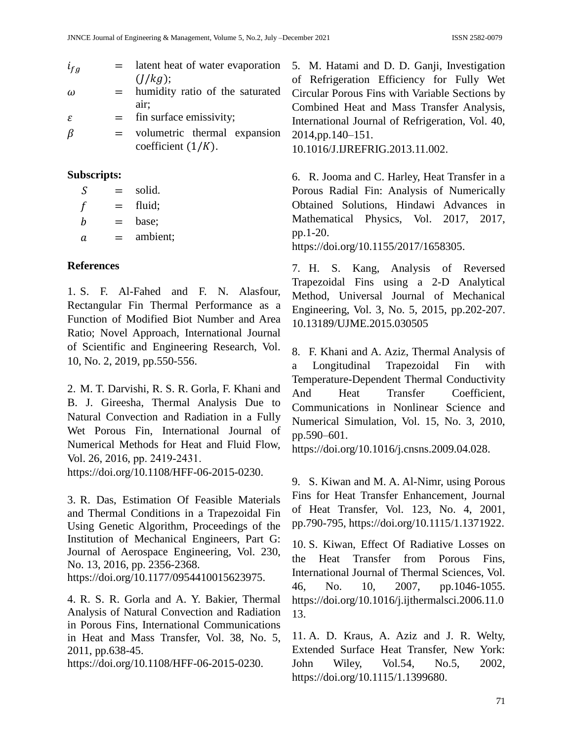| $i_{fg}$    |                             | $=$ latent heat of water evaporation |
|-------------|-----------------------------|--------------------------------------|
|             |                             | (I/kg);                              |
| $\omega$    |                             | $=$ humidity ratio of the saturated  |
|             |                             | air;                                 |
| ε           | $=$                         | fin surface emissivity;              |
| β           | $=$ $-$                     | volumetric thermal expansion         |
|             |                             | coefficient $(1/K)$ .                |
| Subscripts: |                             |                                      |
| S           | $=$                         | solid.                               |
|             | $\mathcal{L} = \mathcal{L}$ | fluid;                               |

 $b = base;$ 

 $a =$  ambient;

### **References**

1. S. F. Al-Fahed and F. N. Alasfour, Rectangular Fin Thermal Performance as a Function of Modified Biot Number and Area Ratio; Novel Approach, International Journal of Scientific and Engineering Research, Vol. 10, No. 2, 2019, pp.550-556.

2. M. T. Darvishi, R. S. R. Gorla, F. Khani and B. J. Gireesha, Thermal Analysis Due to Natural Convection and Radiation in a Fully Wet Porous Fin, International Journal of Numerical Methods for Heat and Fluid Flow, Vol. 26, 2016, pp. 2419‐2431. [https://doi.org/10.1108/HFF-06-2015-0230.](https://doi.org/10.1108/HFF-06-2015-0230)

3. R. Das, Estimation Of Feasible Materials and Thermal Conditions in a Trapezoidal Fin Using Genetic Algorithm, Proceedings of the Institution of Mechanical Engineers, Part G: Journal of Aerospace Engineering, Vol. 230, No. 13, 2016, pp. 2356-2368.

[https://doi.org/10.1177/0954410015623975.](https://doi.org/10.1177/0954410015623975)

4. R. S. R. Gorla and A. Y. Bakier, Thermal Analysis of Natural Convection and Radiation in Porous Fins, International Communications in Heat and Mass Transfer, Vol. 38, No. 5, 2011, pp.638-45.

https://doi.org/10.1108/HFF-06-2015-0230.

5. M. Hatami and D. D. Ganji, Investigation of Refrigeration Efficiency for Fully Wet Circular Porous Fins with Variable Sections by Combined Heat and Mass Transfer Analysis, International Journal of Refrigeration, Vol. 40,  $n \quad 2014, pp.140-151.$ 

10.1016/J.IJREFRIG.2013.11.002.

6. R. Jooma and C. Harley, Heat Transfer in a Porous Radial Fin: Analysis of Numerically Obtained Solutions, Hindawi Advances in Mathematical Physics, Vol. 2017, 2017, pp.1-20.

https://doi.org/10.1155/2017/1658305.

7. H. S. Kang, Analysis of Reversed Trapezoidal Fins using a 2-D Analytical Method, Universal Journal of Mechanical Engineering, Vol. 3, No. 5, 2015, pp.202-207. 10.13189/UJME.2015.030505

8. F. Khani and A. Aziz, Thermal Analysis of a Longitudinal Trapezoidal Fin with Temperature-Dependent Thermal Conductivity And Heat Transfer Coefficient, Communications in Nonlinear Science and Numerical Simulation, Vol. 15, No. 3, 2010, pp.590–601.

[https://doi.org/10.1016/j.cnsns.2009.04.028.](https://doi.org/10.1016/j.cnsns.2009.04.028)

9. S. Kiwan and M. A. Al-Nimr, using Porous Fins for Heat Transfer Enhancement, Journal of Heat Transfer, Vol. 123, No. 4, 2001, pp.790-795, https://doi.org/10.1115/1.1371922.

10. S. Kiwan, Effect Of Radiative Losses on the Heat Transfer from Porous Fins, International Journal of Thermal Sciences, Vol. 46, No. 10, 2007, pp.1046-1055. https://doi.org/10.1016/j.ijthermalsci.2006.11.0 13.

11. A. D. Kraus, A. Aziz and J. R. Welty, Extended Surface Heat Transfer, New York: John Wiley, Vol.54, No.5, 2002, [https://doi.org/10.1115/1.1399680.](https://doi.org/10.1115/1.1399680)